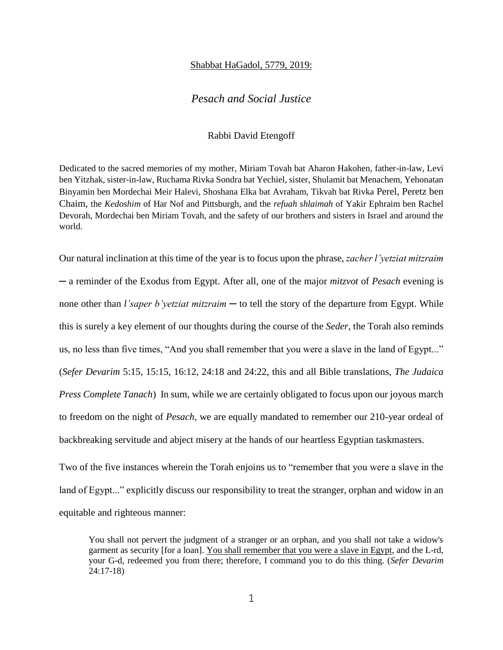## Shabbat HaGadol, 5779, 2019:

## *Pesach and Social Justice*

## Rabbi David Etengoff

Dedicated to the sacred memories of my mother, Miriam Tovah bat Aharon Hakohen, father-in-law, Levi ben Yitzhak, sister-in-law, Ruchama Rivka Sondra bat Yechiel, sister, Shulamit bat Menachem, Yehonatan Binyamin ben Mordechai Meir Halevi, Shoshana Elka bat Avraham, Tikvah bat Rivka Perel, Peretz ben Chaim, the *Kedoshim* of Har Nof and Pittsburgh, and the *refuah shlaimah* of Yakir Ephraim ben Rachel Devorah, Mordechai ben Miriam Tovah, and the safety of our brothers and sisters in Israel and around the world.

Our natural inclination at this time of the year is to focus upon the phrase, *zacher l'yetziat mitzraim*  ─ a reminder of the Exodus from Egypt. After all, one of the major *mitzvot* of *Pesach* evening is none other than *l'saper b'yetziat mitzraim* — to tell the story of the departure from Egypt. While this is surely a key element of our thoughts during the course of the *Seder*, the Torah also reminds us, no less than five times, "And you shall remember that you were a slave in the land of Egypt..." (*Sefer Devarim* 5:15, 15:15, 16:12, 24:18 and 24:22, this and all Bible translations, *The Judaica Press Complete Tanach*) In sum, while we are certainly obligated to focus upon our joyous march to freedom on the night of *Pesach*, we are equally mandated to remember our 210-year ordeal of backbreaking servitude and abject misery at the hands of our heartless Egyptian taskmasters.

Two of the five instances wherein the Torah enjoins us to "remember that you were a slave in the land of Egypt..." explicitly discuss our responsibility to treat the stranger, orphan and widow in an equitable and righteous manner:

You shall not pervert the judgment of a stranger or an orphan, and you shall not take a widow's garment as security [for a loan]. You shall remember that you were a slave in Egypt, and the L-rd, your G-d, redeemed you from there; therefore, I command you to do this thing. (*Sefer Devarim*  24:17-18)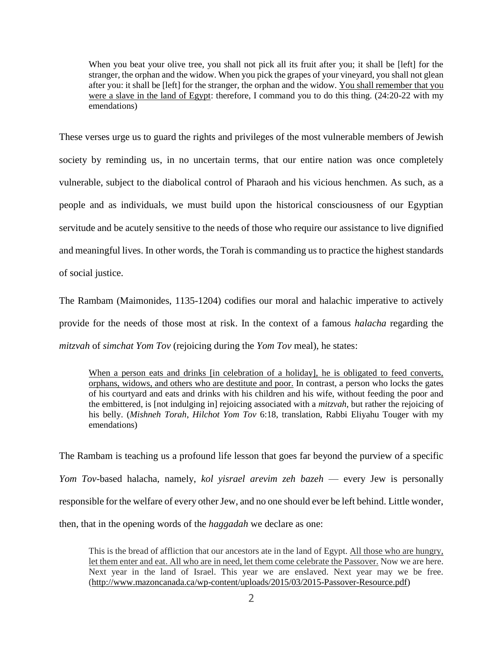When you beat your olive tree, you shall not pick all its fruit after you; it shall be [left] for the stranger, the orphan and the widow. When you pick the grapes of your vineyard, you shall not glean after you: it shall be [left] for the stranger, the orphan and the widow. You shall remember that you were a slave in the land of Egypt: therefore, I command you to do this thing. (24:20-22 with my emendations)

These verses urge us to guard the rights and privileges of the most vulnerable members of Jewish society by reminding us, in no uncertain terms, that our entire nation was once completely vulnerable, subject to the diabolical control of Pharaoh and his vicious henchmen. As such, as a people and as individuals, we must build upon the historical consciousness of our Egyptian servitude and be acutely sensitive to the needs of those who require our assistance to live dignified and meaningful lives. In other words, the Torah is commanding us to practice the highest standards of social justice.

The Rambam (Maimonides, 1135-1204) codifies our moral and halachic imperative to actively provide for the needs of those most at risk. In the context of a famous *halacha* regarding the *mitzvah* of *simchat Yom Tov* (rejoicing during the *Yom Tov* meal), he states:

When a person eats and drinks [in celebration of a holiday], he is obligated to feed converts, orphans, widows, and others who are destitute and poor. In contrast, a person who locks the gates of his courtyard and eats and drinks with his children and his wife, without feeding the poor and the embittered, is [not indulging in] rejoicing associated with a *mitzvah*, but rather the rejoicing of his belly. (*Mishneh Torah*, *Hilchot Yom Tov* 6:18, translation, Rabbi Eliyahu Touger with my emendations)

The Rambam is teaching us a profound life lesson that goes far beyond the purview of a specific *Yom Tov*-based halacha, namely, *kol yisrael arevim zeh bazeh* — every Jew is personally responsible for the welfare of every other Jew, and no one should ever be left behind. Little wonder, then, that in the opening words of the *haggadah* we declare as one:

This is the bread of affliction that our ancestors ate in the land of Egypt. All those who are hungry, let them enter and eat. All who are in need, let them come celebrate the Passover. Now we are here. Next year in the land of Israel. This year we are enslaved. Next year may we be free. [\(http://www.mazoncanada.ca/wp-content/uploads/2015/03/2015-Passover-Resource.pdf\)](http://www.mazoncanada.ca/wp-content/uploads/2015/03/2015-Passover-Resource.pdf)